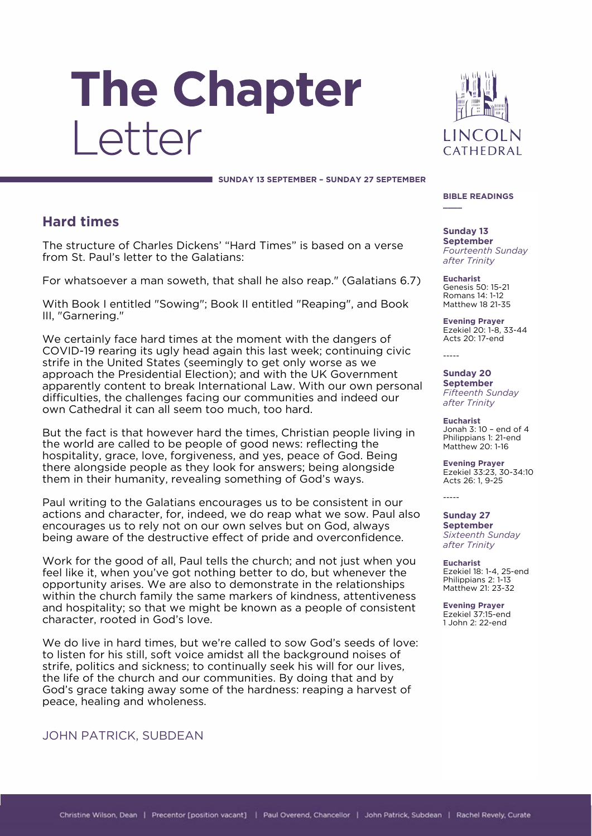# The Chapter Letter



 **SUNDAY 13 SEPTEMBER – SUNDAY 27 SEPTEMBER**

## **Hard times**

The structure of Charles Dickens' "Hard Times" is based on a verse from St. Paul's letter to the Galatians:

For whatsoever a man soweth, that shall he also reap." (Galatians 6.7)

With Book I entitled "Sowing"; Book II entitled "Reaping", and Book III, "Garnering."

We certainly face hard times at the moment with the dangers of COVID-19 rearing its ugly head again this last week; continuing civic strife in the United States (seemingly to get only worse as we approach the Presidential Election); and with the UK Government apparently content to break International Law. With our own personal difficulties, the challenges facing our communities and indeed our own Cathedral it can all seem too much, too hard.

But the fact is that however hard the times, Christian people living in the world are called to be people of good news: reflecting the hospitality, grace, love, forgiveness, and yes, peace of God. Being there alongside people as they look for answers; being alongside them in their humanity, revealing something of God's ways.

Paul writing to the Galatians encourages us to be consistent in our actions and character, for, indeed, we do reap what we sow. Paul also encourages us to rely not on our own selves but on God, always being aware of the destructive effect of pride and overconfidence.

Work for the good of all, Paul tells the church; and not just when you feel like it, when you've got nothing better to do, but whenever the opportunity arises. We are also to demonstrate in the relationships within the church family the same markers of kindness, attentiveness and hospitality; so that we might be known as a people of consistent character, rooted in God's love.

We do live in hard times, but we're called to sow God's seeds of love: to listen for his still, soft voice amidst all the background noises of strife, politics and sickness; to continually seek his will for our lives, the life of the church and our communities. By doing that and by God's grace taking away some of the hardness: reaping a harvest of peace, healing and wholeness.

## JOHN PATRICK, SUBDEAN

#### **BIBLE READINGS \_\_\_\_**

**Sunday 13 September** *Fourteenth Sunday after Trinity*

**Eucharist** Genesis 50: 15-21 Romans 14: 1-12 Matthew 18 21-35

**Evening Prayer** Ezekiel 20: 1-8, 33-44 Acts 20: 17-end

-----

-----

**Sunday 20 September** *Fifteenth Sunday after Trinity*

**Eucharist** Jonah 3: 10 – end of 4 Philippians 1: 21-end Matthew 20: 1-16

**Evening Prayer** Ezekiel 33:23, 30-34:10 Acts 26: 1, 9-25

**Sunday 27 September** *Sixteenth Sunday after Trinity*

**Eucharist** Ezekiel 18: 1-4, 25-end Philippians 2: 1-13 Matthew 21: 23-32

**Evening Prayer** Ezekiel 37:15-end 1 John 2: 22-end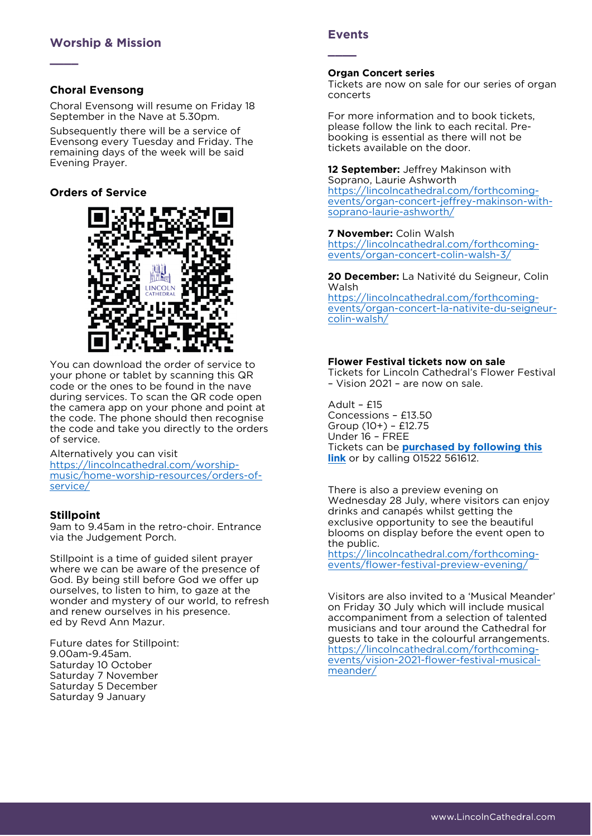## **Choral Evensong**

**\_\_\_\_**

Choral Evensong will resume on Friday 18 September in the Nave at 5.30pm.

Subsequently there will be a service of Evensong every Tuesday and Friday. The remaining days of the week will be said Evening Prayer.

## **Orders of Service**



You can download the order of service to your phone or tablet by scanning this QR code or the ones to be found in the nave during services. To scan the QR code open the camera app on your phone and point at the code. The phone should then recognise the code and take you directly to the orders of service.

Alternatively you can visit

[https://lincolncathedral.com/worship](https://lincolncathedral.com/worship-music/home-worship-resources/orders-of-service/)[music/home-worship-resources/orders-of](https://lincolncathedral.com/worship-music/home-worship-resources/orders-of-service/)[service/](https://lincolncathedral.com/worship-music/home-worship-resources/orders-of-service/)

## **Stillpoint**

9am to 9.45am in the retro-choir. Entrance via the Judgement Porch.

Stillpoint is a time of guided silent prayer where we can be aware of the presence of God. By being still before God we offer up ourselves, to listen to him, to gaze at the wonder and mystery of our world, to refresh and renew ourselves in his presence. ed by Revd Ann Mazur.

Future dates for Stillpoint: 9.00am-9.45am. Saturday 10 October Saturday 7 November Saturday 5 December Saturday 9 January

## **Events**

**\_\_\_\_**

#### **Organ Concert series**

Tickets are now on sale for our series of organ concerts

For more information and to book tickets, please follow the link to each recital. Prebooking is essential as there will not be tickets available on the door.

**12 September:** Jeffrey Makinson with Soprano, Laurie Ashworth

[https://lincolncathedral.com/forthcoming](https://lincolncathedral.com/forthcoming-events/organ-concert-jeffrey-makinson-with-soprano-laurie-ashworth/)[events/organ-concert-jeffrey-makinson-with](https://lincolncathedral.com/forthcoming-events/organ-concert-jeffrey-makinson-with-soprano-laurie-ashworth/)[soprano-laurie-ashworth/](https://lincolncathedral.com/forthcoming-events/organ-concert-jeffrey-makinson-with-soprano-laurie-ashworth/)

#### **7 November:** Colin Walsh

[https://lincolncathedral.com/forthcoming](https://lincolncathedral.com/forthcoming-events/organ-concert-colin-walsh-3/)[events/organ-concert-colin-walsh-3/](https://lincolncathedral.com/forthcoming-events/organ-concert-colin-walsh-3/)

**20 December:** La Nativité du Seigneur, Colin Walsh

[https://lincolncathedral.com/forthcoming](https://lincolncathedral.com/forthcoming-events/organ-concert-la-nativite-du-seigneur-colin-walsh/)[events/organ-concert-la-nativite-du-seigneur](https://lincolncathedral.com/forthcoming-events/organ-concert-la-nativite-du-seigneur-colin-walsh/)[colin-walsh/](https://lincolncathedral.com/forthcoming-events/organ-concert-la-nativite-du-seigneur-colin-walsh/)

## **Flower Festival tickets now on sale**

Tickets for Lincoln Cathedral's Flower Festival – Vision 2021 – are now on sale.

Adult – £15 Concessions – £13.50 Group (10+) – £12.75 Under 16 – FREE Tickets can be **purchased by [following this](https://lincolncathedral.com/flower-festival-tickets-now-on-sale/)  [link](https://lincolncathedral.com/flower-festival-tickets-now-on-sale/)** or by calling 01522 561612.

There is also a preview evening on Wednesday 28 July, where visitors can enjoy drinks and canapés whilst getting the exclusive opportunity to see the beautiful blooms on display before the event open to the public.

[https://lincolncathedral.com/forthcoming](https://lincolncathedral.com/forthcoming-events/flower-festival-preview-evening/)[events/flower-festival-preview-evening/](https://lincolncathedral.com/forthcoming-events/flower-festival-preview-evening/)

Visitors are also invited to a 'Musical Meander' on Friday 30 July which will include musical accompaniment from a selection of talented musicians and tour around the Cathedral for guests to take in the colourful arrangements. [https://lincolncathedral.com/forthcoming](https://lincolncathedral.com/forthcoming-events/vision-2021-flower-festival-musical-meander/)[events/vision-2021-flower-festival-musical](https://lincolncathedral.com/forthcoming-events/vision-2021-flower-festival-musical-meander/)[meander/](https://lincolncathedral.com/forthcoming-events/vision-2021-flower-festival-musical-meander/)